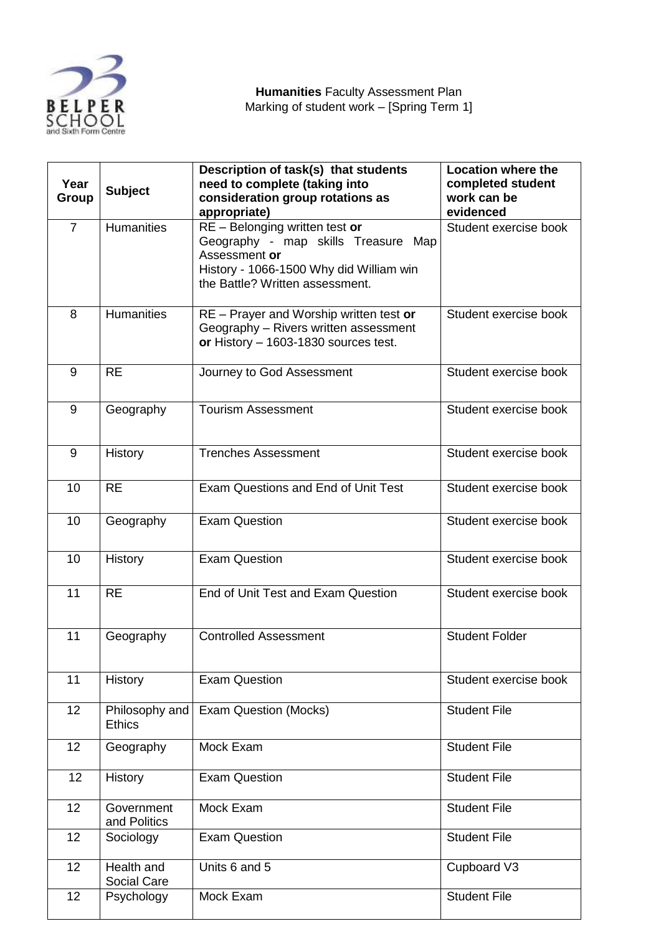

| Year<br>Group  | <b>Subject</b>                  | Description of task(s) that students<br>need to complete (taking into<br>consideration group rotations as<br>appropriate)                                            | <b>Location where the</b><br>completed student<br>work can be<br>evidenced |
|----------------|---------------------------------|----------------------------------------------------------------------------------------------------------------------------------------------------------------------|----------------------------------------------------------------------------|
| $\overline{7}$ | <b>Humanities</b>               | RE - Belonging written test or<br>Geography - map skills Treasure Map<br>Assessment or<br>History - 1066-1500 Why did William win<br>the Battle? Written assessment. | Student exercise book                                                      |
| 8              | <b>Humanities</b>               | RE - Prayer and Worship written test or<br>Geography - Rivers written assessment<br>or History $-$ 1603-1830 sources test.                                           | Student exercise book                                                      |
| 9              | <b>RE</b>                       | Journey to God Assessment                                                                                                                                            | Student exercise book                                                      |
| 9              | Geography                       | <b>Tourism Assessment</b>                                                                                                                                            | Student exercise book                                                      |
| 9              | History                         | <b>Trenches Assessment</b>                                                                                                                                           | Student exercise book                                                      |
| 10             | <b>RE</b>                       | Exam Questions and End of Unit Test                                                                                                                                  | Student exercise book                                                      |
| 10             | Geography                       | <b>Exam Question</b>                                                                                                                                                 | Student exercise book                                                      |
| 10             | <b>History</b>                  | <b>Exam Question</b>                                                                                                                                                 | Student exercise book                                                      |
| 11             | <b>RE</b>                       | End of Unit Test and Exam Question                                                                                                                                   | Student exercise book                                                      |
| 11             | Geography                       | <b>Controlled Assessment</b>                                                                                                                                         | <b>Student Folder</b>                                                      |
| 11             | History                         | <b>Exam Question</b>                                                                                                                                                 | Student exercise book                                                      |
| 12             | Philosophy and<br><b>Ethics</b> | Exam Question (Mocks)                                                                                                                                                | <b>Student File</b>                                                        |
| 12             | Geography                       | Mock Exam                                                                                                                                                            | <b>Student File</b>                                                        |
| 12             | History                         | <b>Exam Question</b>                                                                                                                                                 | <b>Student File</b>                                                        |
| 12             | Government<br>and Politics      | Mock Exam                                                                                                                                                            | <b>Student File</b>                                                        |
| 12             | Sociology                       | <b>Exam Question</b>                                                                                                                                                 | <b>Student File</b>                                                        |
| 12             | Health and<br>Social Care       | Units 6 and 5                                                                                                                                                        | Cupboard V3                                                                |
| 12             | Psychology                      | Mock Exam                                                                                                                                                            | <b>Student File</b>                                                        |